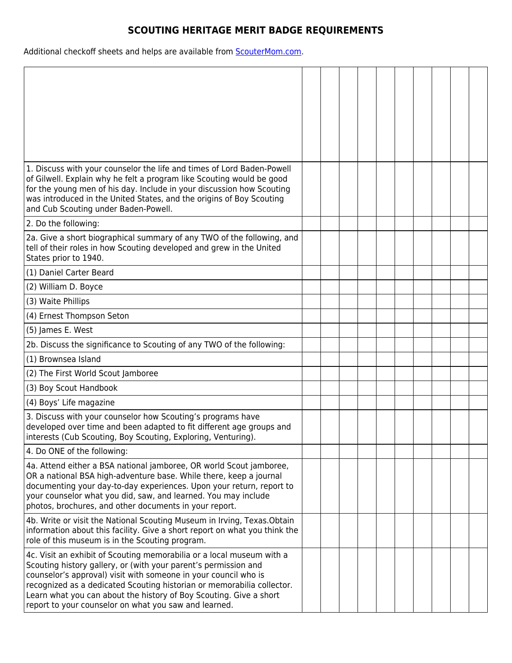## **SCOUTING HERITAGE MERIT BADGE REQUIREMENTS**

Additional checkoff sheets and helps are available from **ScouterMom.com**.

| 1. Discuss with your counselor the life and times of Lord Baden-Powell<br>of Gilwell. Explain why he felt a program like Scouting would be good<br>for the young men of his day. Include in your discussion how Scouting<br>was introduced in the United States, and the origins of Boy Scouting<br>and Cub Scouting under Baden-Powell.                                                                             |  |  |  |  |  |
|----------------------------------------------------------------------------------------------------------------------------------------------------------------------------------------------------------------------------------------------------------------------------------------------------------------------------------------------------------------------------------------------------------------------|--|--|--|--|--|
| 2. Do the following:                                                                                                                                                                                                                                                                                                                                                                                                 |  |  |  |  |  |
| 2a. Give a short biographical summary of any TWO of the following, and<br>tell of their roles in how Scouting developed and grew in the United<br>States prior to 1940.                                                                                                                                                                                                                                              |  |  |  |  |  |
| (1) Daniel Carter Beard                                                                                                                                                                                                                                                                                                                                                                                              |  |  |  |  |  |
| (2) William D. Boyce                                                                                                                                                                                                                                                                                                                                                                                                 |  |  |  |  |  |
| (3) Waite Phillips                                                                                                                                                                                                                                                                                                                                                                                                   |  |  |  |  |  |
| (4) Ernest Thompson Seton                                                                                                                                                                                                                                                                                                                                                                                            |  |  |  |  |  |
| (5) James E. West                                                                                                                                                                                                                                                                                                                                                                                                    |  |  |  |  |  |
| 2b. Discuss the significance to Scouting of any TWO of the following:                                                                                                                                                                                                                                                                                                                                                |  |  |  |  |  |
| (1) Brownsea Island                                                                                                                                                                                                                                                                                                                                                                                                  |  |  |  |  |  |
| (2) The First World Scout Jamboree                                                                                                                                                                                                                                                                                                                                                                                   |  |  |  |  |  |
| (3) Boy Scout Handbook                                                                                                                                                                                                                                                                                                                                                                                               |  |  |  |  |  |
| (4) Boys' Life magazine                                                                                                                                                                                                                                                                                                                                                                                              |  |  |  |  |  |
| 3. Discuss with your counselor how Scouting's programs have<br>developed over time and been adapted to fit different age groups and<br>interests (Cub Scouting, Boy Scouting, Exploring, Venturing).                                                                                                                                                                                                                 |  |  |  |  |  |
| 4. Do ONE of the following:                                                                                                                                                                                                                                                                                                                                                                                          |  |  |  |  |  |
| 4a. Attend either a BSA national jamboree, OR world Scout jamboree,<br>OR a national BSA high-adventure base. While there, keep a journal<br>documenting your day-to-day experiences. Upon your return, report to<br>your counselor what you did, saw, and learned. You may include<br>photos, brochures, and other documents in your report.                                                                        |  |  |  |  |  |
| 4b. Write or visit the National Scouting Museum in Irving, Texas. Obtain<br>information about this facility. Give a short report on what you think the<br>role of this museum is in the Scouting program.                                                                                                                                                                                                            |  |  |  |  |  |
| 4c. Visit an exhibit of Scouting memorabilia or a local museum with a<br>Scouting history gallery, or (with your parent's permission and<br>counselor's approval) visit with someone in your council who is<br>recognized as a dedicated Scouting historian or memorabilia collector.<br>Learn what you can about the history of Boy Scouting. Give a short<br>report to your counselor on what you saw and learned. |  |  |  |  |  |